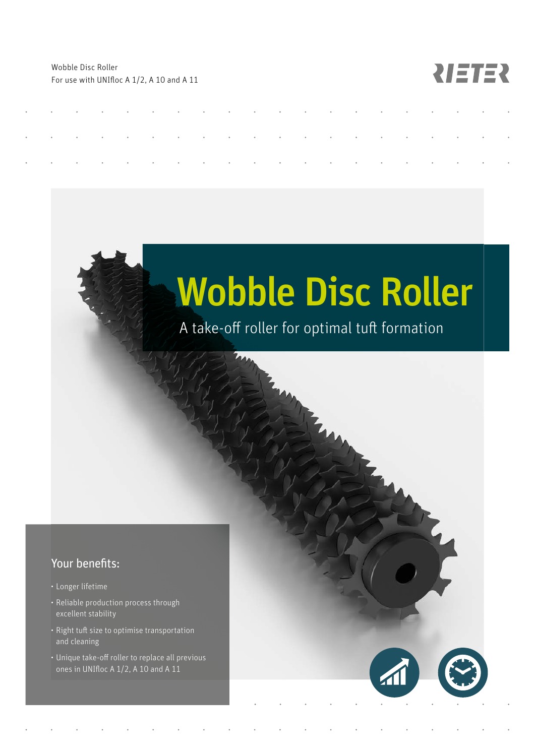Wobble Disc Roller For use with UNIfloc A 1/2, A 10 and A 11

## **RIETER**

# Wobble Disc Roller

## A take-off roller for optimal tuft formation

### Your benefits:

- Longer lifetime
- Reliable production process through excellent stability
- Right tuft size to optimise transportation and cleaning
- Unique take-off roller to replace all previous ones in UNIfloc A  $1/2$ , A 10 and A 11